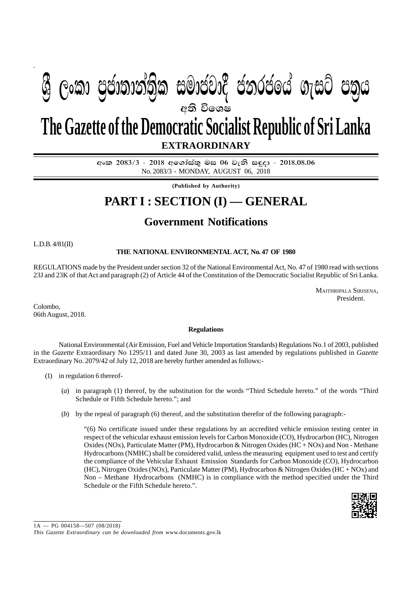# **අති වි**ගෙෂ **EXTRAORDINARY The Gazette of the Democratic Socialist Republic of Sri Lanka ශී ලංකා පුජාතාන්තික සමාජවාදී ජනරජයේ ගැසට් පතුය**

අංක 2083/3 - 2018 අගෝස්තු මස 06 වැනි සඳුදා - 2018.08.06 No. 2083/3 - MONDAY, AUGUST 06, 2018

**(Published by Authority)**

## **PART I : SECTION (I) — GENERAL**

### **Government Notifications**

L.D.B. 4/81(II)

#### **THE NATIONAL ENVIRONMENTAL ACT, No. 47 OF 1980**

REGULATIONS made by the President under section 32 of the National Environmental Act, No. 47 of 1980 read with sections 23J and 23K of that Act and paragraph (2) of Article 44 of the Constitution of the Democratic Socialist Republic of Sri Lanka.

> MAITHRIPALA SIRISENA, President.

Colombo, 06th August, 2018.

#### **Regulations**

National Environmental (Air Emission, Fuel and Vehicle Importation Standards) Regulations No.1 of 2003, published in the *Gazette* Extraordinary No 1295/11 and dated June 30, 2003 as last amended by regulations published in *Gazette* Extraordinary No. 2079/42 of July 12, 2018 are hereby further amended as follows:-

- (1) in regulation 6 thereof-
	- (*a*) in paragraph (1) thereof, by the substitution for the words "Third Schedule hereto." of the words "Third Schedule or Fifth Schedule hereto."; and
	- (*b*) by the repeal of paragraph (6) thereof, and the substitution therefor of the following paragraph:-

"(6) No certificate issued under these regulations by an accredited vehicle emission testing center in respect of the vehicular exhaust emission levels for Carbon Monoxide (CO), Hydrocarbon (HC), Nitrogen Oxides (NOx), Particulate Matter (PM), Hydrocarbon & Nitrogen Oxides (HC + NOx) and Non - Methane Hydrocarbons (NMHC) shall be considered valid, unless the measuring equipment used to test and certify the compliance of the Vehicular Exhaust Emission Standards for Carbon Monoxide (CO), Hydrocarbon (HC), Nitrogen Oxides (NOx), Particulate Matter (PM), Hydrocarbon & Nitrogen Oxides (HC + NOx) and Non – Methane Hydrocarbons (NMHC) is in compliance with the method specified under the Third Schedule or the Fifth Schedule hereto.".



 $1A - PG$  004158-507 (08/2018)

*This Gazette Extraordinary can be downloaded from* www.documents.gov.lk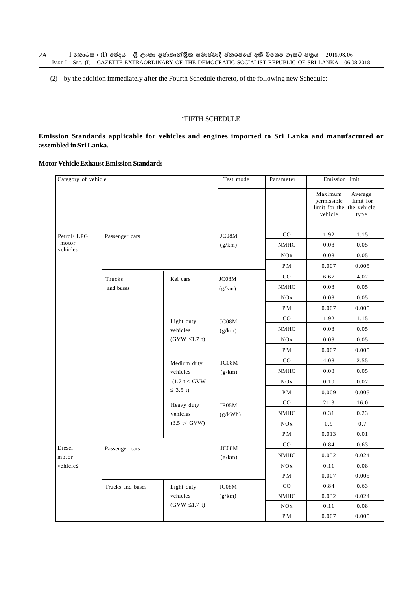$\rm I$  කොටස : ( $\rm I$ ) ඡෙදය - ශුී ලංකා පුජාතාන්තිුක සමාජවාදී ජනරජයේ අති විශෙෂ ගැසට් පතුය - 2018.08.06 PART I : SEC. (I) - GAZETTE EXTRAORDINARY OF THE DEMOCRATIC SOCIALIST REPUBLIC OF SRI LANKA - 06.08.2018 2A

(2) by the addition immediately after the Fourth Schedule thereto, of the following new Schedule:-

#### "FIFTH SCHEDULE

#### **Emission Standards applicable for vehicles and engines imported to Sri Lanka and manufactured or assembled in Sri Lanka.**

#### **Motor Vehicle Exhaust Emission Standards**

| Category of vehicle |                     |                                                            | Test mode        | Parameter   | Emission limit                                                 |                              |
|---------------------|---------------------|------------------------------------------------------------|------------------|-------------|----------------------------------------------------------------|------------------------------|
|                     |                     |                                                            |                  |             | Maximum<br>permissible<br>limit for the the vehicle<br>vehicle | Average<br>limit for<br>type |
| Petrol/LPG          | Passenger cars      |                                                            | JC08M            | CO          | 1.92                                                           | 1.15                         |
| motor<br>vehicles   |                     |                                                            | (g/km)           | <b>NMHC</b> | 0.08                                                           | 0.05                         |
|                     |                     |                                                            |                  | NOx         | 0.08                                                           | 0.05                         |
|                     |                     |                                                            |                  | PM          | 0.007                                                          | 0.005                        |
|                     | Trucks<br>and buses | Kei cars                                                   | JC08M<br>(g/km)  | $_{\rm CO}$ | 6.67                                                           | 4.02                         |
|                     |                     |                                                            |                  | <b>NMHC</b> | 0.08                                                           | 0.05                         |
|                     |                     |                                                            |                  | NOx         | 0.08                                                           | 0.05                         |
|                     |                     |                                                            |                  | PM          | 0.007                                                          | 0.005                        |
|                     |                     | Light duty                                                 | JC08M<br>(g/km)  | CO          | 1.92                                                           | 1.15                         |
|                     |                     | vehicles                                                   |                  | <b>NMHC</b> | 0.08                                                           | 0.05                         |
|                     |                     | $(GVW \leq 1.7 t)$                                         |                  | NOx         | 0.08                                                           | 0.05                         |
|                     |                     |                                                            |                  | PM          | 0.007                                                          | 0.005                        |
|                     |                     | Medium duty<br>vehicles<br>$(1.7 t <$ GVW<br>$\leq$ 3.5 t) | JC08M<br>(g/km)  | CO          | 4.08                                                           | 2.55                         |
|                     |                     |                                                            |                  | <b>NMHC</b> | 0.08                                                           | 0.05                         |
|                     |                     |                                                            |                  | NOx         | 0.10                                                           | 0.07                         |
|                     |                     |                                                            |                  | PM          | 0.009                                                          | 0.005                        |
|                     |                     | Heavy duty<br>vehicles<br>$(3.5 \t{c} \text{GVW})$         | JE05M<br>(g/kWh) | $_{\rm CO}$ | 21.3                                                           | 16.0                         |
|                     |                     |                                                            |                  | <b>NMHC</b> | 0.31                                                           | 0.23                         |
|                     |                     |                                                            |                  | <b>NO</b> x | 0.9                                                            | 0.7                          |
|                     |                     |                                                            |                  | PM          | 0.013                                                          | 0.01                         |
| Diesel              | Passenger cars      |                                                            | JC08M<br>(g/km)  | $_{\rm CO}$ | 0.84                                                           | 0.63                         |
| motor               |                     |                                                            |                  | <b>NMHC</b> | 0.032                                                          | 0.024                        |
| vehicles            |                     |                                                            |                  | NOx         | 0.11                                                           | 0.08                         |
|                     |                     |                                                            |                  | PM          | 0.007                                                          | 0.005                        |
|                     | Trucks and buses    | Light duty<br>vehicles<br>$(GVW \leq 1.7 t)$               | JC08M<br>(g/km)  | $_{\rm CO}$ | 0.84                                                           | 0.63                         |
|                     |                     |                                                            |                  | <b>NMHC</b> | 0.032                                                          | 0.024                        |
|                     |                     |                                                            |                  | NOx         | 0.11                                                           | 0.08                         |
|                     |                     |                                                            |                  | PM          | 0.007                                                          | 0.005                        |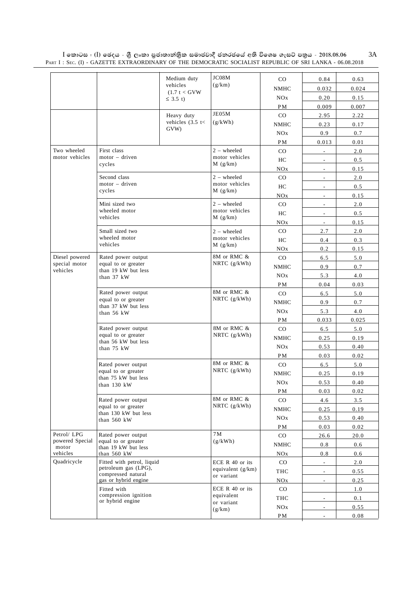$\rm I$  කොටස : ( $\rm I$ ) ඡෙදය - ශුී ලංකා පුජාතාන්තිුක සමාජවාදී ජනරජයේ අති විශෙෂ ගැසට් පතුය - 2018.08.06 PART I : SEC. (I) - GAZETTE EXTRAORDINARY OF THE DEMOCRATIC SOCIALIST REPUBLIC OF SRI LANKA - 06.08.2018 3A

|                   |                                                                                                                 | Medium duty<br>vehicles                           | JC08M                                                | $\rm CO$    | 0.84                     | 0.63  |
|-------------------|-----------------------------------------------------------------------------------------------------------------|---------------------------------------------------|------------------------------------------------------|-------------|--------------------------|-------|
|                   |                                                                                                                 |                                                   | (g/km)                                               | <b>NMHC</b> | 0.032                    | 0.024 |
|                   |                                                                                                                 | $(1.7 t <$ GVW<br>$\leq$ 3.5 t)                   |                                                      | NOx         | 0.20                     | 0.15  |
|                   |                                                                                                                 | Heavy duty<br>vehicles $(3.5 \text{ t} <$<br>GVW) |                                                      | PM          | 0.009                    | 0.007 |
|                   |                                                                                                                 |                                                   | JE05M<br>(g/kWh)                                     | CO          | 2.95                     | 2.22  |
|                   |                                                                                                                 |                                                   |                                                      | <b>NMHC</b> | 0.23                     | 0.17  |
|                   |                                                                                                                 |                                                   |                                                      | NOx         | 0.9                      | 0.7   |
|                   |                                                                                                                 |                                                   |                                                      | PM          | 0.013                    | 0.01  |
| Two wheeled       | First class                                                                                                     |                                                   | $2 -$ wheeled<br>motor vehicles                      | CO          | $\overline{a}$           | 2.0   |
| motor vehicles    | motor - driven                                                                                                  |                                                   |                                                      | HC          | $\frac{1}{2}$            | 0.5   |
|                   | cycles                                                                                                          |                                                   | $M$ (g/km)                                           | NOx         | $\overline{\phantom{a}}$ | 0.15  |
|                   | Second class                                                                                                    |                                                   | $2 -$ wheeled                                        | CO          | $\overline{\phantom{a}}$ | 2.0   |
|                   | $motor - driven$<br>cycles                                                                                      |                                                   | motor vehicles<br>$M$ (g/km)                         | HC          | $\overline{a}$           | 0.5   |
|                   |                                                                                                                 |                                                   |                                                      | NOx         | $\frac{1}{2}$            | 0.15  |
|                   | Mini sized two<br>wheeled motor<br>vehicles                                                                     |                                                   | $2 -$ wheeled<br>motor vehicles<br>$M$ (g/km)        | CO          | $\frac{1}{2}$            | 2.0   |
|                   |                                                                                                                 |                                                   |                                                      | HC          | $\overline{\phantom{a}}$ | 0.5   |
|                   |                                                                                                                 |                                                   |                                                      | NOx         | $\overline{\phantom{a}}$ | 0.15  |
|                   | Small sized two                                                                                                 |                                                   | $2 -$ wheeled                                        | CO          | 2.7                      | 2.0   |
|                   | wheeled motor<br>vehicles                                                                                       |                                                   | motor vehicles                                       | HC          | 0.4                      | 0.3   |
|                   |                                                                                                                 |                                                   | $M$ (g/km)                                           | NOx         | 0.2                      | 0.15  |
| Diesel powered    | Rated power output                                                                                              |                                                   | 8M or RMC &                                          | CO          | 6.5                      | 5.0   |
| special motor     | equal to or greater<br>than 19 kW but less<br>than 37 kW                                                        |                                                   | NRTC (g/kWh)                                         | <b>NMHC</b> | 0.9                      | 0.7   |
| vehicles          |                                                                                                                 |                                                   |                                                      | NOx         | 5.3                      | 4.0   |
|                   |                                                                                                                 |                                                   |                                                      | PM.         | 0.04                     | 0.03  |
|                   | Rated power output<br>equal to or greater                                                                       |                                                   | 8M or RMC &<br>NRTC $(g/kWh)$                        | CO          | 6.5                      | 5.0   |
|                   |                                                                                                                 |                                                   |                                                      | <b>NMHC</b> | 0.9                      | 0.7   |
|                   | than 37 kW but less<br>than 56 kW                                                                               |                                                   |                                                      | NOx         | 5.3                      | 4.0   |
|                   |                                                                                                                 |                                                   |                                                      | PM          | 0.033                    | 0.025 |
|                   | Rated power output<br>equal to or greater<br>than 56 kW but less<br>than 75 kW                                  |                                                   | 8M or RMC &<br>NRTC $(g/kWh)$                        | $_{\rm CO}$ | 6.5                      | 5.0   |
|                   |                                                                                                                 |                                                   |                                                      | <b>NMHC</b> | 0.25                     | 0.19  |
|                   |                                                                                                                 |                                                   |                                                      | NOx         | 0.53                     | 0.40  |
|                   |                                                                                                                 |                                                   |                                                      | PM          | 0.03                     | 0.02  |
|                   | Rated power output                                                                                              |                                                   | 8M or RMC &                                          | $_{\rm CO}$ | 6.5                      | 5.0   |
|                   | equal to or greater<br>than 75 kW but less<br>than 130 kW                                                       |                                                   | NRTC (g/kWh)                                         | <b>NMHC</b> | 0.25                     | 0.19  |
|                   |                                                                                                                 |                                                   |                                                      | NOx         | 0.53                     | 0.40  |
|                   |                                                                                                                 |                                                   |                                                      | PM          | 0.03                     | 0.02  |
|                   | Rated power output<br>equal to or greater<br>than 130 kW but less<br>than 560 kW                                |                                                   | 8M or RMC &<br>NRTC $(g/kWh)$                        | $_{\rm CO}$ | 4.6                      | 3.5   |
|                   |                                                                                                                 |                                                   |                                                      | NMHC        | 0.25                     | 0.19  |
|                   |                                                                                                                 |                                                   |                                                      | NOX         | 0.53                     | 0.40  |
|                   |                                                                                                                 |                                                   |                                                      | PM          | 0.03                     | 0.02  |
| Petrol/LPG        | Rated power output<br>equal to or greater<br>than 19 kW but less<br>than 560 kW                                 |                                                   | 7M<br>(g/kWh)                                        | $\rm CO$    | 26.6                     | 20.0  |
| powered Special   |                                                                                                                 |                                                   |                                                      | <b>NMHC</b> | 0.8                      | 0.6   |
| motor<br>vehicles |                                                                                                                 |                                                   |                                                      | $\rm NOx$   | 0.8                      | 0.6   |
| Quadricycle       | Fitted with petrol, liquid<br>petroleum gas (LPG),<br>compressed natural<br>gas or hybrid engine<br>Fitted with |                                                   | ECE R 40 or its<br>equivalent $(g/km)$<br>or variant | $\rm CO$    |                          | 2.0   |
|                   |                                                                                                                 |                                                   |                                                      | THC         |                          | 0.55  |
|                   |                                                                                                                 |                                                   |                                                      | NOx         | $\overline{\phantom{a}}$ | 0.25  |
|                   |                                                                                                                 |                                                   | ECE R 40 or its                                      | $\rm CO$    |                          | 1.0   |
|                   | compression ignition                                                                                            |                                                   | equivalent<br>or variant<br>(g/km)                   | THC         | $\overline{\phantom{a}}$ | 0.1   |
|                   | or hybrid engine                                                                                                |                                                   |                                                      | NOx         | $\overline{\phantom{a}}$ | 0.55  |
|                   |                                                                                                                 |                                                   |                                                      | PM          |                          | 0.08  |
|                   |                                                                                                                 |                                                   |                                                      |             |                          |       |